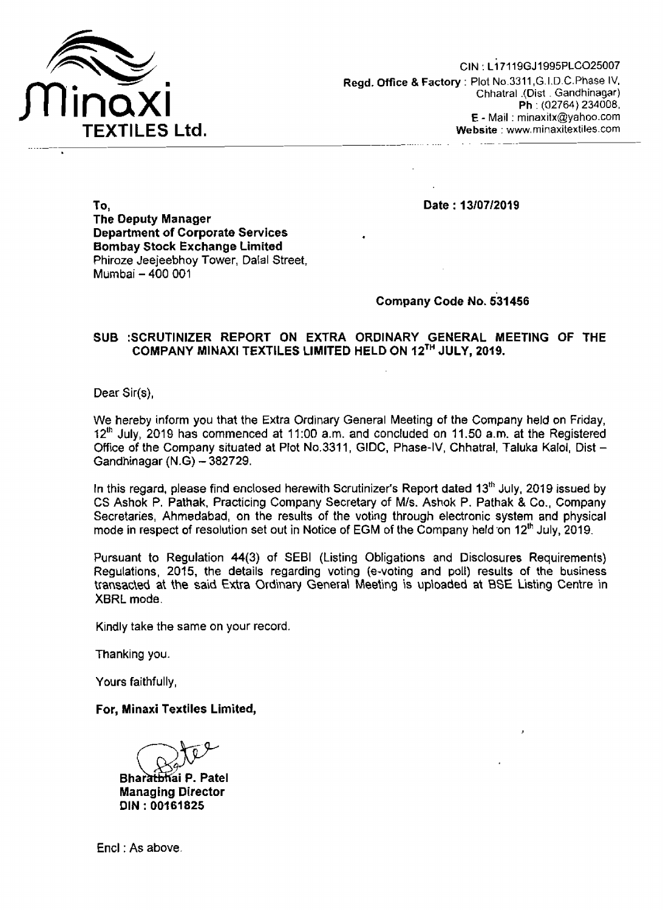

Date: 13/07/2019

To, The Deputy Manager Department of Corporate Services Bombay Stock Exchange Limited Phiroze Jeejeebhoy Tower, Dalal Street, Mumbai - 400 001

## Company Code No. 531456

### SUB :SCRUTINIZER REPORT ON EXTRA ORDINARY GENERAL MEETING OF THE COMPANY MINAXI TEXTILES LIMITED HELD ON 12TH JULY, 2019.

Dear Sir(s),

We hereby inform you that the Extra Ordinary General Meeting of the Company held on Friday,  $12<sup>th</sup>$  July, 2019 has commenced at 11:00 a.m. and concluded on 11.50 a.m. at the Registered Office of the Company situated at Plot No.3311, GIDC, Phase-IV, Chhatral, Taluka Kalol, Dist-Gandhinagar  $(N.G) - 382729$ .

In this regard, please find enclosed herewith Scrutinizer's Report dated  $13<sup>th</sup>$  July, 2019 issued by CS Ashok P. Pathak, Practicing Company Secretary of MIs. Ashok P. Pathak & Co., Company Secretaries, Ahmedabad, on the results of the voting through electronic system and physical mode in respect of resolution set out in Notice of EGM of the Company held on 12<sup>th</sup> July, 2019.

Pursuant to Regulation 44(3) of SEBI (Listing Obligations and Disclosures Requirements) Regulations, 2015, the details regarding voting (e-voting and poll) results of the business transacted at the said Extra Ordinary General Meeting is uploaded at BSE Listing Centre in XBRL mode.

Kindly take the same on your record.

Thanking you.

Yours faithfully,

### For, Minaxi Textiles Limited,

Bharathhai P. Patel Managing Director DIN: 00161825

End: As above.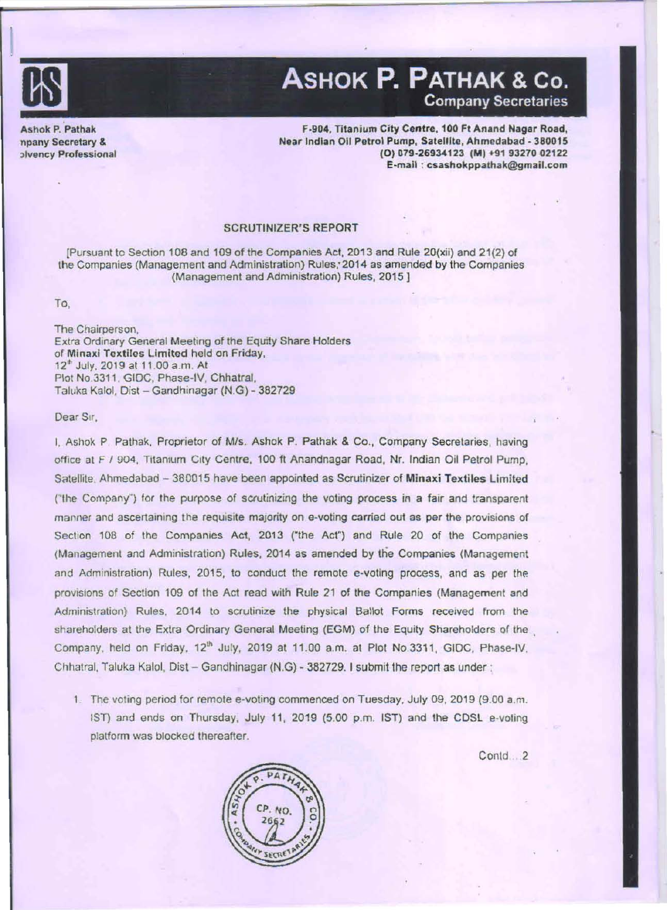

I

# ASHOK P. PATHAK & Co, Company Secretaries

Ashok P. Pathak npany Secretary & :>Ivency Professional

F.904, Titanium City Centre, 100 Ft Anand Nagar Road, Near Indian Oil Petrol Pump, Satellite, Ahmedabad - 380015 (O) 079-26934123 (M) +91 93270 02122 E-mail : csashokppathak@gmail.com

### SCRUTINIZER'S REPORT

[Pursuant to Section 108 and 109 of the Companies Act, 2013 and Rule 20(xii) and 21(2) of the Companies (Management and Administration) Ruies;2014 as amended by the Companies (Management and Administration) Rules, 2015]

#### To,

The Chairperson. Extra Ordinary General Meeting or the Equity Share Holders of Minaxi Textiles limited held on Friday, 12" July, 2019 at 11 .00 a.m . At Plot No.3311, GIDC, Phase-IV, Chhatral, Taluka Kalol, Dist - Gandhinagar (N.G) - 382729

#### Dear Sir.

I, Ashok P Pathak, Proprietor of MIs. Ashok P. Pathak & Co., Company Secretaries, having office at F / 904, Titanium City Centre, 100 ft Anandnagar Road, Nr. Indian Oil Petrol Pump, Satellite. Ahmedabad - 380015 have been appointed as Scrutinizer of Minaxi Textiles Limited ("the Company") for the purpose of scrutinizing the voting process in a fair and transparent manner and ascertaining the requisite majority on e-voting carried out as per the provisions of Section 108 of the Companies Act, 2013 ("the Act") and Rule 20 of the Companies (Management and Administration) Rules, 2014 as amended by the Companies (Management and Administration) Rules, 2015, to conduct the remote e-voting process, and as per the provisions of Section 109 of the Act read with Rule 21 of the Companies (Management and Administration) Rules. 2014 to scrutinize the physical Ballot Forms received from the shareholders at the Extra Ordinary General Meeting (EGM) of the Equity Shareholders of the Company, held on Friday, 12<sup>th</sup> July, 2019 at 11.00 a.m. at Plot No.3311, GIDC, Phase-IV, Chhatral, Taluka Kalol, Dist - Gandhinagar (N.G) - 382729. I submit the report as under :

The voting period for remote e·voting commenced on Tuesday, July 09, 2019 (9.00 *a.m.*  1ST) and ends on Thursday, July 11, 2019 (5.00 p.m. 1ST) and lhe CDSL e-voling platform was blocked thereafter.

Contd 2

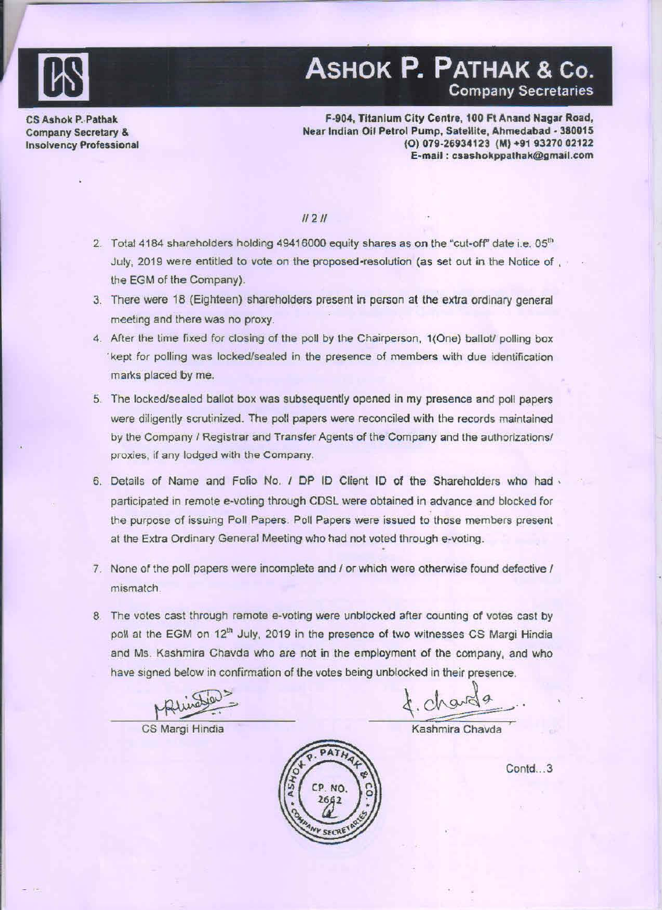

# ASHOK P. PATHAK & Co.

CS Ashok P. Pathak Company Secretary & Insolvency Professicnal

#### F·904. Titanium City Centre, 100 Ft Anand Nagar Road, Near Indian Oil Petrol Pump, Satellite, Ahmedabad - 380015 (O) 079-26934123 (M) +91 93270 02122 E-rnall : csashokppathak@gmail.com

### $11211$

- 2. Total 4184 shareholders holding 49416000 equity shares as on the "cut-off" date i.e.  $05<sup>th</sup>$ July, 2019 were entitled to vote on the proposed-resolution (as set out in the Notice of , the EGM of the Company).
- 3. There were 18 (Eighteen) shareholders present in person at the extra ordinary general meeting and there was no proxy.
- 4. After the time fixed for closing of the poll by the Chairperson, 1(One) ballot/ polling box 'kept for polling was locked/sealed in the presence of members with due identification marks placed by me.
- 5. The locked/sealed ballot box was subsequently opened in my presence and poll papers were diligently scrutinized. The poll papers were reconciled with the records maintained by the Company / Registrar and Transfer Agents of the Company and the authorizations/ proxies, if any lodged with the Company.
- 6. Details of Name and Folio No. / DP ID Client ID of the Shareholders who had  $\cdot$ participated in remote e-voting through CDSL were obtained in advance and blocked for the purpose of issuing Poll Papers. Poll Papers were issued to those members present at the Extra Ordinary General Meeting who had not voted through e·voling.
- 7. None of the poll papers were incomplete and / or which were otherwise found defective / mismatch .
- 8. The votes cast through remote e-voting were unblocked after counting of votes cast by poll at the EGM on 12<sup>th</sup> July, 2019 in the presence of two witnesses CS Margi Hindia and Ms. Kashmira Chavda who are not in the employment of the company, and who have signad below in confirmation of the voles being unblocked in their presence. S. Kashmira Chavda who are not in the employment of the company, and who<br>signed below in confirmation of the votes being unblocked in their presence.<br> $\mu\mu\mu\omega\omega$ <br>CS Margi Hindia Kashmira Chavda

Contd ... 3

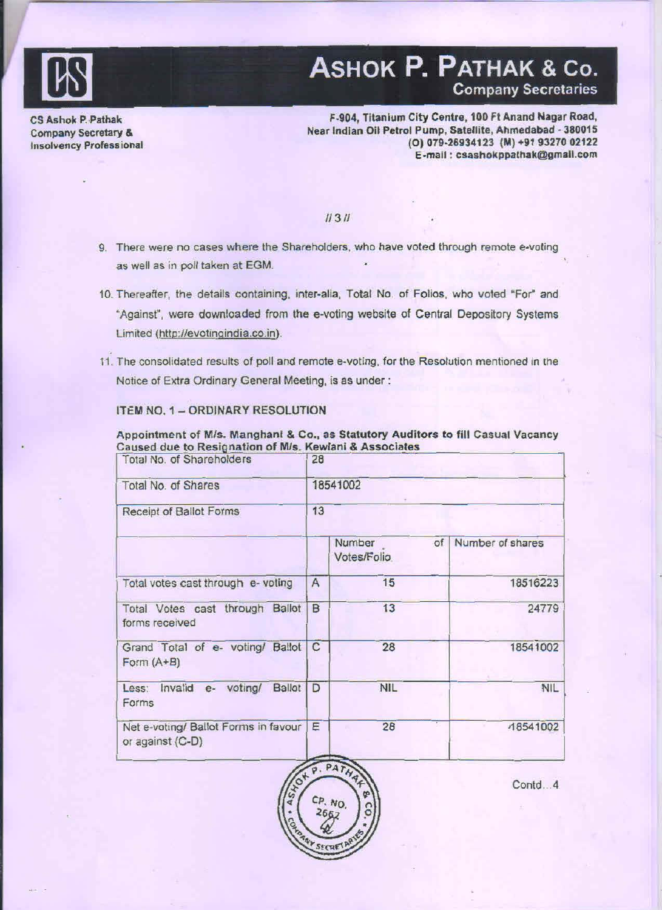

# ASHOK P. PATHAK & Co. Company Secretaries

CS Ashok P. Pathak Company Secretary & Insolvency Professional

#### F.904, Titanium City Centre. 100 Ft Anand Nagar Road, Near Indian Oil Petrol Pump, Satellite, Ahmedabad · 380015 (O) 079-26934123 (M) +91 93270 02122 E.mall : csashokppathak@gmall.com

### 11311

- 9. There were no cases where the Shareholders. who have voted through remote e-voling as well as in poll taken at EGM.
- 10. Thereafter, the details containing, inter-alia, Total No. of Folios, who voted "For" and "Against", were downloaded from the e-voting website of Central Depository Systems Limited (http://evotinqindia.co.in).
- 11 . The consolidated results of poll and remote e-voting, for the Resolution mentioned in the Notice of Extra Ordinary General Meeting, is as under :

Appointment of M/s. Manghani & Co., as Statutory Auditors to fill Casual Vacancy

### ITEM NO. 1 - ORDINARY RESOLUTION

| Caused due to Resignation of M/s. Kewlani & Associates<br>Total No. of Shareholders | 28 |                             |                  |  |  |
|-------------------------------------------------------------------------------------|----|-----------------------------|------------------|--|--|
| Total No. of Shares                                                                 |    | 18541002                    |                  |  |  |
| Receipt of Ballot Forms                                                             | 13 |                             |                  |  |  |
|                                                                                     |    | Number<br>of<br>Votes/Folio | Number of shares |  |  |
| Total votes cast through e- voting                                                  | A  | 15                          | 18516223         |  |  |
| Total Votes cast through Ballot<br>forms received                                   | B  | 13                          | 24779            |  |  |
| Grand Total of e- voting/ Ballot C<br>Form $(A+B)$                                  |    | 28                          | 18541002         |  |  |
| Less: Invalid e-<br>voting/<br><b>Ballot</b><br>Forms                               | D  | <b>NIL</b>                  | <b>NIL</b>       |  |  |
| Net e-voting/ Ballot Forms in favour<br>or against (C-D)                            | Ε  | 28                          | 18541002         |  |  |

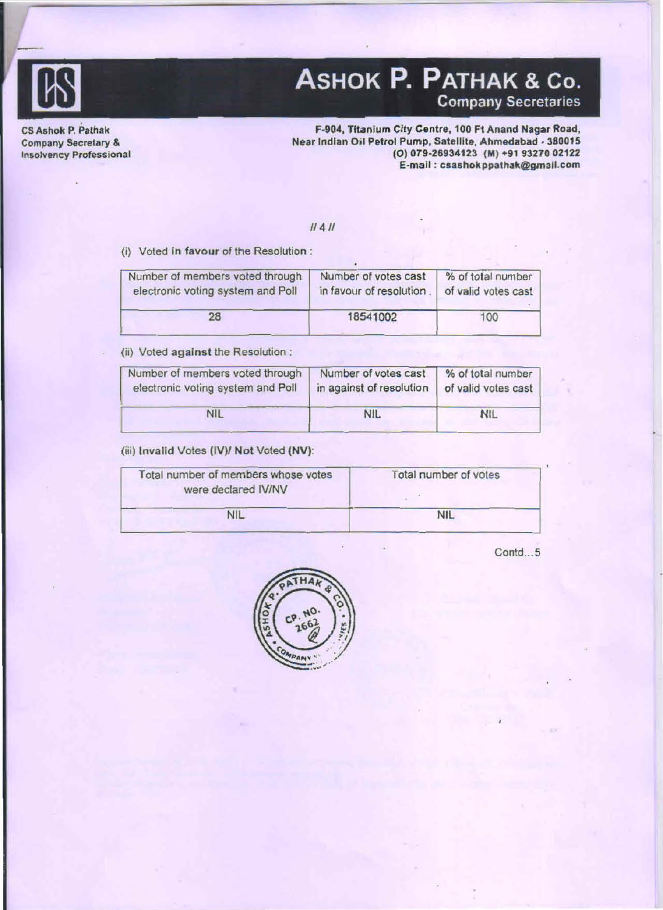

# ASHOK P. PATHAK & Co. Company Secretaries

CS Ashok P. Pathak Company Secretary & In50lvency Professional

ś.

F-904, Titanium City Centre, 100 Ft Anand Nagar Road, Near Indian Oil Patrol Pump, Satellite, Ahmedabad · 380015 (0) 079·26934123 (M) +919327002122 E-mail : csashok ppathak@gmail.com

### 11411

(i) Voted in favour of the Resolution :

| Number of members voted through   | Number of votes cast    | % of total number   |
|-----------------------------------|-------------------------|---------------------|
| electronic voting system and Poll | in favour of resolution | of valid votes cast |
| 28                                | 18541002                | 100                 |

(ii) Voted against the Resolution :

| Number of members voted through   | Number of votes cast     | % of total number   |
|-----------------------------------|--------------------------|---------------------|
| electronic voting system and Poll | in against of resolution | of valid votes cast |
| <b>NIL</b>                        | <b>NIL</b>               | <b>NIL</b>          |

### (iii) Invalid Votes (lV)1 Not Voted (NV):

| Total number of members whose votes<br>were declared IV/NV | Total number of votes |
|------------------------------------------------------------|-----------------------|
| <b>NIL</b>                                                 | <b>NIL</b>            |

Contd...5